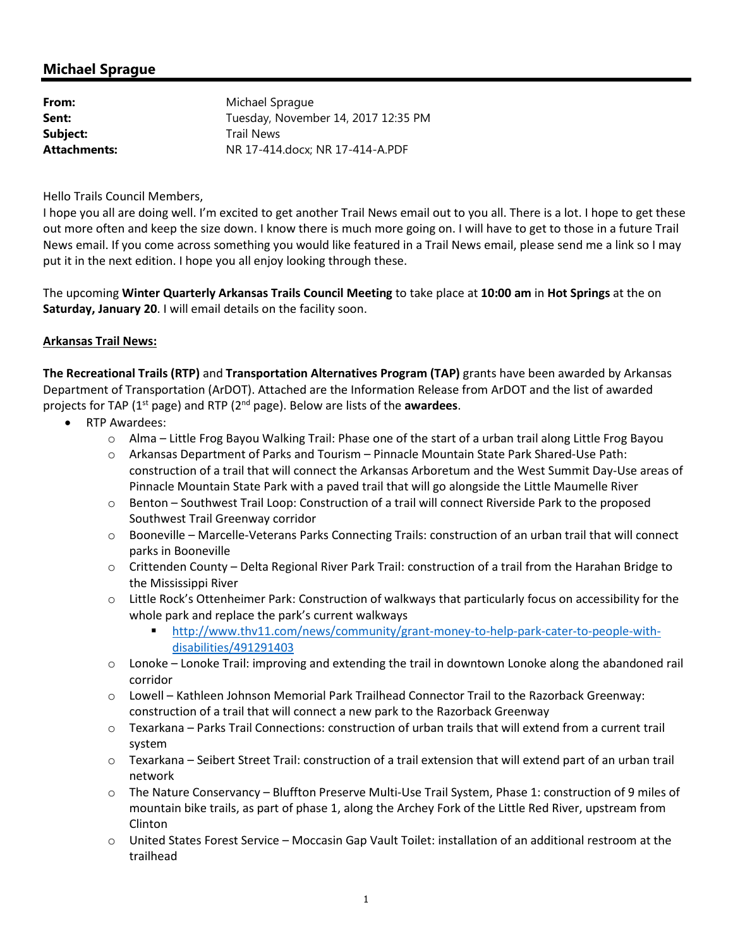# **Michael Sprague**

| From:        | Michael Sprague                     |
|--------------|-------------------------------------|
| Sent:        | Tuesday, November 14, 2017 12:35 PM |
| Subject:     | <b>Trail News</b>                   |
| Attachments: | NR 17-414.docx: NR 17-414-A.PDF     |

Hello Trails Council Members,

I hope you all are doing well. I'm excited to get another Trail News email out to you all. There is a lot. I hope to get these out more often and keep the size down. I know there is much more going on. I will have to get to those in a future Trail News email. If you come across something you would like featured in a Trail News email, please send me a link so I may put it in the next edition. I hope you all enjoy looking through these.

The upcoming **Winter Quarterly Arkansas Trails Council Meeting** to take place at **10:00 am** in **Hot Springs** at the on **Saturday, January 20**. I will email details on the facility soon.

#### **Arkansas Trail News:**

**The Recreational Trails (RTP)** and **Transportation Alternatives Program (TAP)** grants have been awarded by Arkansas Department of Transportation (ArDOT). Attached are the Information Release from ArDOT and the list of awarded projects for TAP (1st page) and RTP (2nd page). Below are lists of the **awardees**.

- RTP Awardees:
	- $\circ$  Alma Little Frog Bayou Walking Trail: Phase one of the start of a urban trail along Little Frog Bayou
	- o Arkansas Department of Parks and Tourism Pinnacle Mountain State Park Shared-Use Path: construction of a trail that will connect the Arkansas Arboretum and the West Summit Day-Use areas of Pinnacle Mountain State Park with a paved trail that will go alongside the Little Maumelle River
	- o Benton Southwest Trail Loop: Construction of a trail will connect Riverside Park to the proposed Southwest Trail Greenway corridor
	- o Booneville Marcelle-Veterans Parks Connecting Trails: construction of an urban trail that will connect parks in Booneville
	- o Crittenden County Delta Regional River Park Trail: construction of a trail from the Harahan Bridge to the Mississippi River
	- o Little Rock's Ottenheimer Park: Construction of walkways that particularly focus on accessibility for the whole park and replace the park's current walkways
		- http://www.thv11.com/news/community/grant-money-to-help-park-cater-to-people-withdisabilities/491291403
	- o Lonoke Lonoke Trail: improving and extending the trail in downtown Lonoke along the abandoned rail corridor
	- o Lowell Kathleen Johnson Memorial Park Trailhead Connector Trail to the Razorback Greenway: construction of a trail that will connect a new park to the Razorback Greenway
	- o Texarkana Parks Trail Connections: construction of urban trails that will extend from a current trail system
	- o Texarkana Seibert Street Trail: construction of a trail extension that will extend part of an urban trail network
	- o The Nature Conservancy Bluffton Preserve Multi-Use Trail System, Phase 1: construction of 9 miles of mountain bike trails, as part of phase 1, along the Archey Fork of the Little Red River, upstream from Clinton
	- $\circ$  United States Forest Service Moccasin Gap Vault Toilet: installation of an additional restroom at the trailhead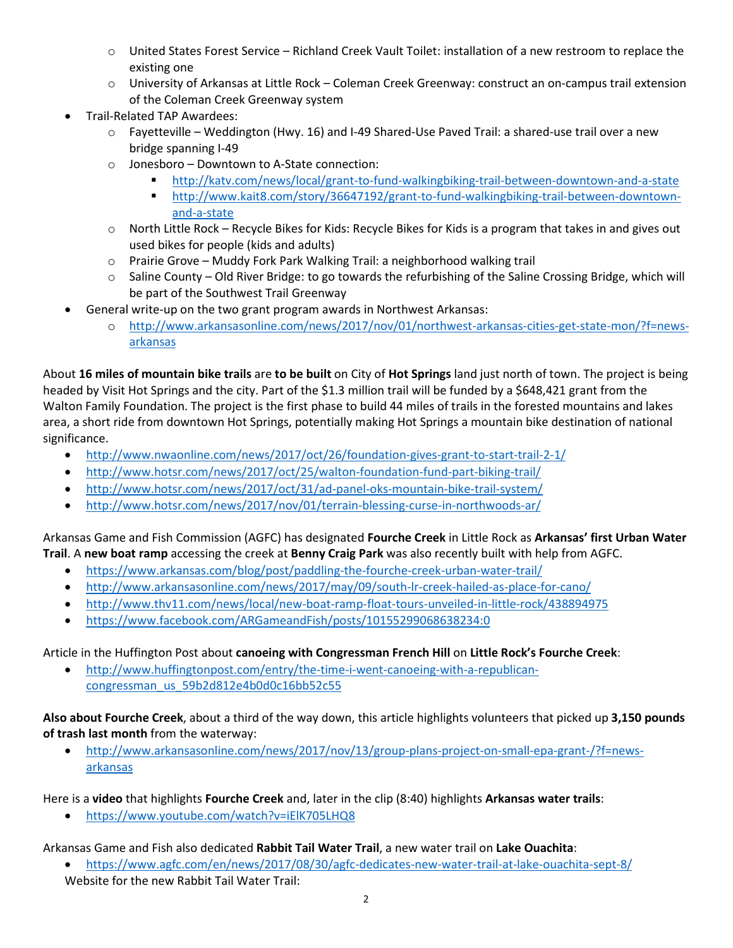- o United States Forest Service Richland Creek Vault Toilet: installation of a new restroom to replace the existing one
- o University of Arkansas at Little Rock Coleman Creek Greenway: construct an on-campus trail extension of the Coleman Creek Greenway system
- Trail-Related TAP Awardees:
	- o Fayetteville Weddington (Hwy. 16) and I-49 Shared-Use Paved Trail: a shared-use trail over a new bridge spanning I-49
	- o Jonesboro Downtown to A-State connection:
		- http://katv.com/news/local/grant-to-fund-walkingbiking-trail-between-downtown-and-a-state
		- http://www.kait8.com/story/36647192/grant-to-fund-walkingbiking-trail-between-downtownand-a-state
	- o North Little Rock Recycle Bikes for Kids: Recycle Bikes for Kids is a program that takes in and gives out used bikes for people (kids and adults)
	- o Prairie Grove Muddy Fork Park Walking Trail: a neighborhood walking trail
	- o Saline County Old River Bridge: to go towards the refurbishing of the Saline Crossing Bridge, which will be part of the Southwest Trail Greenway
	- General write-up on the two grant program awards in Northwest Arkansas:
		- o http://www.arkansasonline.com/news/2017/nov/01/northwest-arkansas-cities-get-state-mon/?f=newsarkansas

About **16 miles of mountain bike trails** are **to be built** on City of **Hot Springs** land just north of town. The project is being headed by Visit Hot Springs and the city. Part of the \$1.3 million trail will be funded by a \$648,421 grant from the Walton Family Foundation. The project is the first phase to build 44 miles of trails in the forested mountains and lakes area, a short ride from downtown Hot Springs, potentially making Hot Springs a mountain bike destination of national significance.

- http://www.nwaonline.com/news/2017/oct/26/foundation-gives-grant-to-start-trail-2-1/
- http://www.hotsr.com/news/2017/oct/25/walton-foundation-fund-part-biking-trail/
- http://www.hotsr.com/news/2017/oct/31/ad-panel-oks-mountain-bike-trail-system/
- http://www.hotsr.com/news/2017/nov/01/terrain-blessing-curse-in-northwoods-ar/

Arkansas Game and Fish Commission (AGFC) has designated **Fourche Creek** in Little Rock as **Arkansas' first Urban Water Trail**. A **new boat ramp** accessing the creek at **Benny Craig Park** was also recently built with help from AGFC.

- https://www.arkansas.com/blog/post/paddling-the-fourche-creek-urban-water-trail/
- http://www.arkansasonline.com/news/2017/may/09/south-lr-creek-hailed-as-place-for-cano/
- http://www.thv11.com/news/local/new-boat-ramp-float-tours-unveiled-in-little-rock/438894975
- https://www.facebook.com/ARGameandFish/posts/10155299068638234:0

Article in the Huffington Post about **canoeing with Congressman French Hill** on **Little Rock's Fourche Creek**:

• http://www.huffingtonpost.com/entry/the-time-i-went-canoeing-with-a-republicancongressman\_us\_59b2d812e4b0d0c16bb52c55

**Also about Fourche Creek**, about a third of the way down, this article highlights volunteers that picked up **3,150 pounds of trash last month** from the waterway:

• http://www.arkansasonline.com/news/2017/nov/13/group-plans-project-on-small-epa-grant-/?f=newsarkansas

Here is a **video** that highlights **Fourche Creek** and, later in the clip (8:40) highlights **Arkansas water trails**:

• https://www.youtube.com/watch?v=iElK705LHQ8

Arkansas Game and Fish also dedicated **Rabbit Tail Water Trail**, a new water trail on **Lake Ouachita**:

• https://www.agfc.com/en/news/2017/08/30/agfc-dedicates-new-water-trail-at-lake-ouachita-sept-8/ Website for the new Rabbit Tail Water Trail: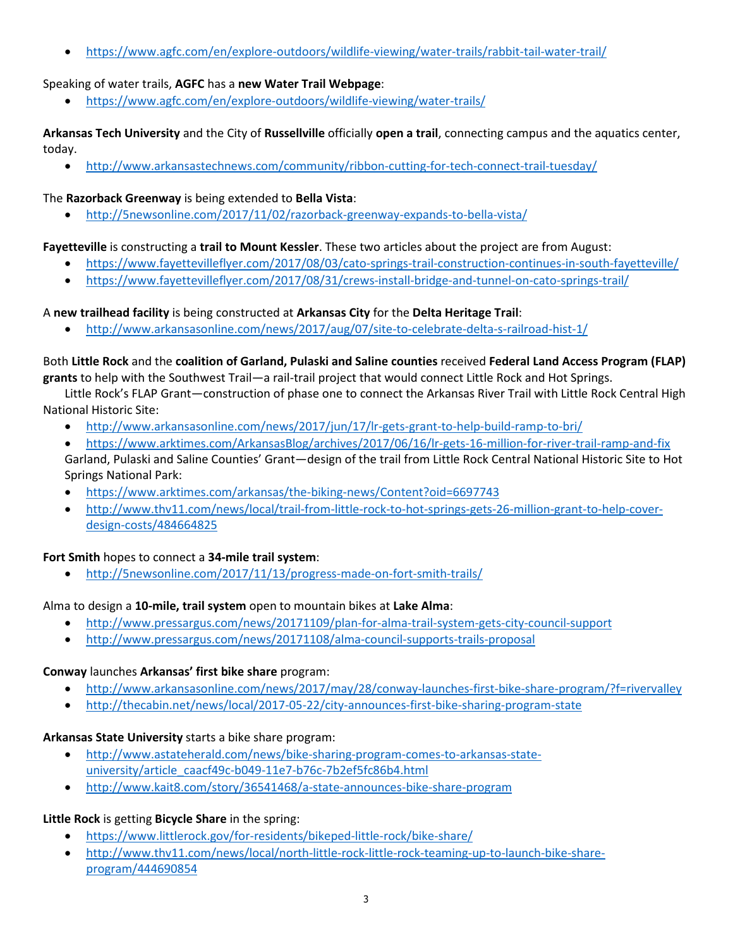• https://www.agfc.com/en/explore-outdoors/wildlife-viewing/water-trails/rabbit-tail-water-trail/

### Speaking of water trails, **AGFC** has a **new Water Trail Webpage**:

• https://www.agfc.com/en/explore-outdoors/wildlife-viewing/water-trails/

**Arkansas Tech University** and the City of **Russellville** officially **open a trail**, connecting campus and the aquatics center, today.

• http://www.arkansastechnews.com/community/ribbon-cutting-for-tech-connect-trail-tuesday/

### The **Razorback Greenway** is being extended to **Bella Vista**:

• http://5newsonline.com/2017/11/02/razorback-greenway-expands-to-bella-vista/

### **Fayetteville** is constructing a **trail to Mount Kessler**. These two articles about the project are from August:

- https://www.fayettevilleflyer.com/2017/08/03/cato-springs-trail-construction-continues-in-south-fayetteville/
- https://www.fayettevilleflyer.com/2017/08/31/crews-install-bridge-and-tunnel-on-cato-springs-trail/

### A **new trailhead facility** is being constructed at **Arkansas City** for the **Delta Heritage Trail**:

• http://www.arkansasonline.com/news/2017/aug/07/site-to-celebrate-delta-s-railroad-hist-1/

# Both **Little Rock** and the **coalition of Garland, Pulaski and Saline counties** received **Federal Land Access Program (FLAP)**

**grants** to help with the Southwest Trail—a rail-trail project that would connect Little Rock and Hot Springs.

Little Rock's FLAP Grant—construction of phase one to connect the Arkansas River Trail with Little Rock Central High National Historic Site:

- http://www.arkansasonline.com/news/2017/jun/17/lr-gets-grant-to-help-build-ramp-to-bri/
- https://www.arktimes.com/ArkansasBlog/archives/2017/06/16/lr-gets-16-million-for-river-trail-ramp-and-fix

Garland, Pulaski and Saline Counties' Grant—design of the trail from Little Rock Central National Historic Site to Hot Springs National Park:

- https://www.arktimes.com/arkansas/the-biking-news/Content?oid=6697743
- http://www.thv11.com/news/local/trail-from-little-rock-to-hot-springs-gets-26-million-grant-to-help-coverdesign-costs/484664825

# **Fort Smith** hopes to connect a **34-mile trail system**:

• http://5newsonline.com/2017/11/13/progress-made-on-fort-smith-trails/

# Alma to design a **10-mile, trail system** open to mountain bikes at **Lake Alma**:

- http://www.pressargus.com/news/20171109/plan-for-alma-trail-system-gets-city-council-support
- http://www.pressargus.com/news/20171108/alma-council-supports-trails-proposal

# **Conway** launches **Arkansas' first bike share** program:

- http://www.arkansasonline.com/news/2017/may/28/conway-launches-first-bike-share-program/?f=rivervalley
- http://thecabin.net/news/local/2017-05-22/city-announces-first-bike-sharing-program-state

# **Arkansas State University** starts a bike share program:

- http://www.astateherald.com/news/bike-sharing-program-comes-to-arkansas-stateuniversity/article\_caacf49c-b049-11e7-b76c-7b2ef5fc86b4.html
- http://www.kait8.com/story/36541468/a-state-announces-bike-share-program

# **Little Rock** is getting **Bicycle Share** in the spring:

- https://www.littlerock.gov/for-residents/bikeped-little-rock/bike-share/
- http://www.thv11.com/news/local/north-little-rock-little-rock-teaming-up-to-launch-bike-shareprogram/444690854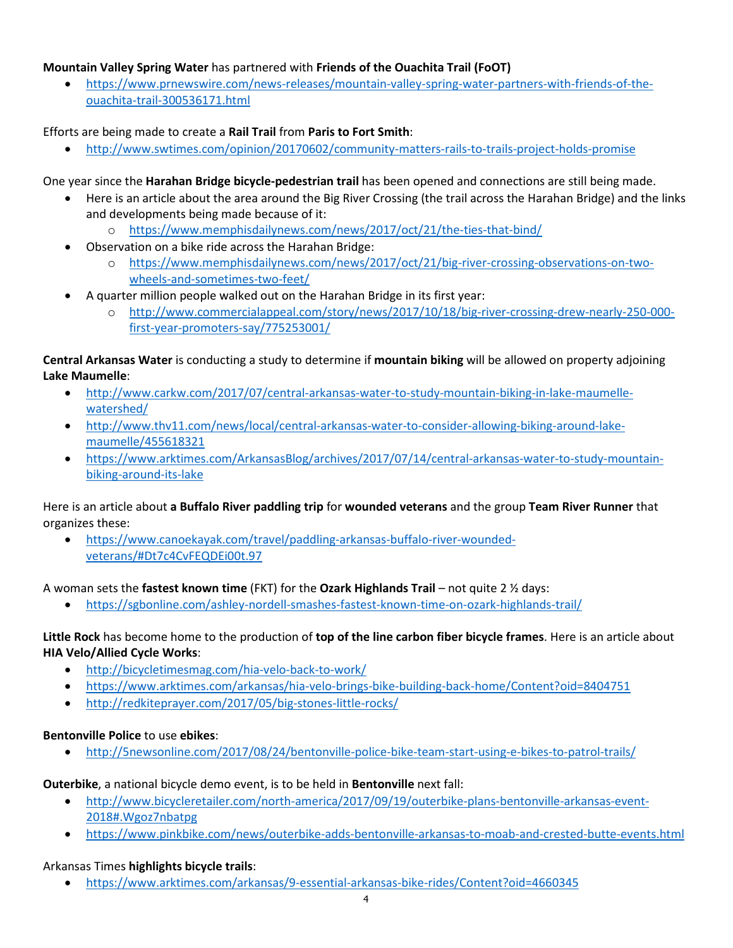### **Mountain Valley Spring Water** has partnered with **Friends of the Ouachita Trail (FoOT)**

• https://www.prnewswire.com/news-releases/mountain-valley-spring-water-partners-with-friends-of-theouachita-trail-300536171.html

Efforts are being made to create a **Rail Trail** from **Paris to Fort Smith**:

• http://www.swtimes.com/opinion/20170602/community-matters-rails-to-trails-project-holds-promise

One year since the **Harahan Bridge bicycle-pedestrian trail** has been opened and connections are still being made.

- Here is an article about the area around the Big River Crossing (the trail across the Harahan Bridge) and the links and developments being made because of it:
	- o https://www.memphisdailynews.com/news/2017/oct/21/the-ties-that-bind/
- Observation on a bike ride across the Harahan Bridge:
	- o https://www.memphisdailynews.com/news/2017/oct/21/big-river-crossing-observations-on-twowheels-and-sometimes-two-feet/
- A quarter million people walked out on the Harahan Bridge in its first year:
	- o http://www.commercialappeal.com/story/news/2017/10/18/big-river-crossing-drew-nearly-250-000 first-year-promoters-say/775253001/

**Central Arkansas Water** is conducting a study to determine if **mountain biking** will be allowed on property adjoining **Lake Maumelle**:

- http://www.carkw.com/2017/07/central-arkansas-water-to-study-mountain-biking-in-lake-maumellewatershed/
- http://www.thv11.com/news/local/central-arkansas-water-to-consider-allowing-biking-around-lakemaumelle/455618321
- https://www.arktimes.com/ArkansasBlog/archives/2017/07/14/central-arkansas-water-to-study-mountainbiking-around-its-lake

Here is an article about **a Buffalo River paddling trip** for **wounded veterans** and the group **Team River Runner** that organizes these:

• https://www.canoekayak.com/travel/paddling-arkansas-buffalo-river-woundedveterans/#Dt7c4CvFEQDEi00t.97

A woman sets the **fastest known time** (FKT) for the **Ozark Highlands Trail** – not quite 2 ½ days:

• https://sgbonline.com/ashley-nordell-smashes-fastest-known-time-on-ozark-highlands-trail/

### **Little Rock** has become home to the production of **top of the line carbon fiber bicycle frames**. Here is an article about **HIA Velo/Allied Cycle Works**:

- http://bicycletimesmag.com/hia-velo-back-to-work/
- https://www.arktimes.com/arkansas/hia-velo-brings-bike-building-back-home/Content?oid=8404751
- http://redkiteprayer.com/2017/05/big-stones-little-rocks/

### **Bentonville Police** to use **ebikes**:

• http://5newsonline.com/2017/08/24/bentonville-police-bike-team-start-using-e-bikes-to-patrol-trails/

### **Outerbike**, a national bicycle demo event, is to be held in **Bentonville** next fall:

- http://www.bicycleretailer.com/north-america/2017/09/19/outerbike-plans-bentonville-arkansas-event-2018#.Wgoz7nbatpg
- https://www.pinkbike.com/news/outerbike-adds-bentonville-arkansas-to-moab-and-crested-butte-events.html

# Arkansas Times **highlights bicycle trails**:

• https://www.arktimes.com/arkansas/9-essential-arkansas-bike-rides/Content?oid=4660345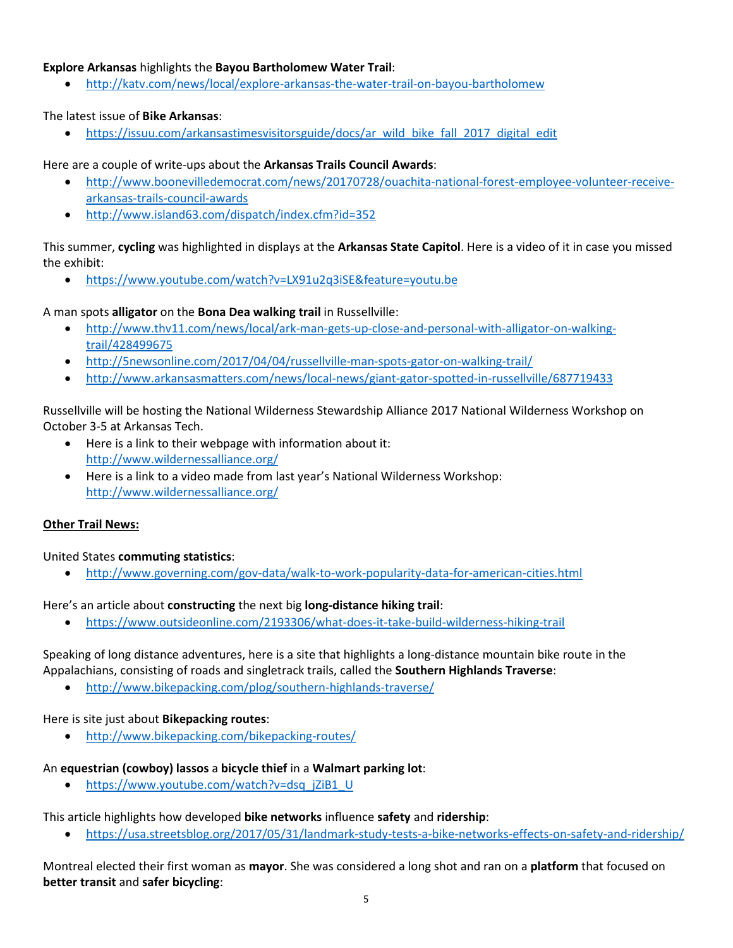#### **Explore Arkansas** highlights the **Bayou Bartholomew Water Trail**:

• http://katv.com/news/local/explore-arkansas-the-water-trail-on-bayou-bartholomew

#### The latest issue of **Bike Arkansas**:

• https://issuu.com/arkansastimesvisitorsguide/docs/ar\_wild\_bike\_fall\_2017\_digital\_edit

#### Here are a couple of write-ups about the **Arkansas Trails Council Awards**:

- http://www.boonevilledemocrat.com/news/20170728/ouachita-national-forest-employee-volunteer-receivearkansas-trails-council-awards
- http://www.island63.com/dispatch/index.cfm?id=352

#### This summer, **cycling** was highlighted in displays at the **Arkansas State Capitol**. Here is a video of it in case you missed the exhibit:

• https://www.youtube.com/watch?v=LX91u2q3iSE&feature=youtu.be

#### A man spots **alligator** on the **Bona Dea walking trail** in Russellville:

- http://www.thv11.com/news/local/ark-man-gets-up-close-and-personal-with-alligator-on-walkingtrail/428499675
- http://5newsonline.com/2017/04/04/russellville-man-spots-gator-on-walking-trail/
- http://www.arkansasmatters.com/news/local-news/giant-gator-spotted-in-russellville/687719433

#### Russellville will be hosting the National Wilderness Stewardship Alliance 2017 National Wilderness Workshop on October 3-5 at Arkansas Tech.

- Here is a link to their webpage with information about it: http://www.wildernessalliance.org/
- Here is a link to a video made from last year's National Wilderness Workshop: http://www.wildernessalliance.org/

#### **Other Trail News:**

United States **commuting statistics**:

• http://www.governing.com/gov-data/walk-to-work-popularity-data-for-american-cities.html

### Here's an article about **constructing** the next big **long-distance hiking trail**:

• https://www.outsideonline.com/2193306/what-does-it-take-build-wilderness-hiking-trail

Speaking of long distance adventures, here is a site that highlights a long-distance mountain bike route in the Appalachians, consisting of roads and singletrack trails, called the **Southern Highlands Traverse**:

• http://www.bikepacking.com/plog/southern-highlands-traverse/

#### Here is site just about **Bikepacking routes**:

• http://www.bikepacking.com/bikepacking-routes/

### An **equestrian (cowboy) lassos** a **bicycle thief** in a **Walmart parking lot**:

• https://www.youtube.com/watch?v=dsq\_jZiB1\_U

This article highlights how developed **bike networks** influence **safety** and **ridership**:

• https://usa.streetsblog.org/2017/05/31/landmark-study-tests-a-bike-networks-effects-on-safety-and-ridership/

Montreal elected their first woman as **mayor**. She was considered a long shot and ran on a **platform** that focused on **better transit** and **safer bicycling**: